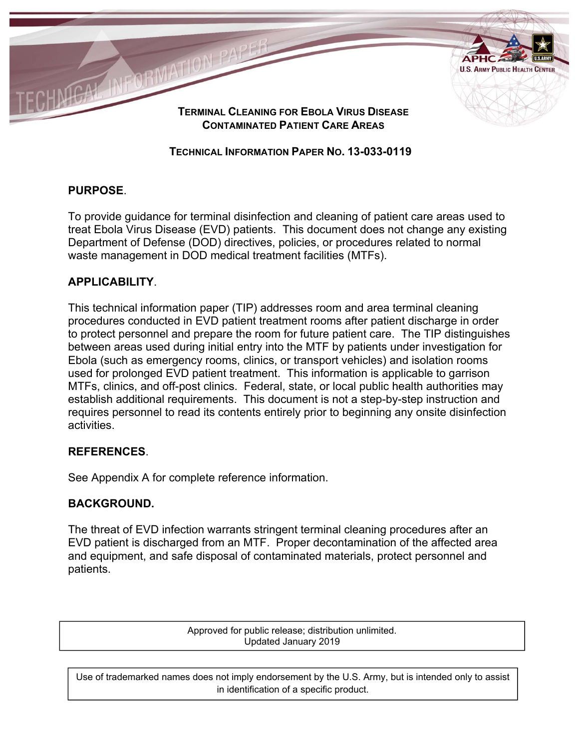

**TERMINAL CLEANING FOR EBOLA VIRUS DISEASE CONTAMINATED PATIENT CARE AREAS**

# **TECHNICAL INFORMATION PAPER NO. 13-033-0119**

# **PURPOSE**.

To provide guidance for terminal disinfection and cleaning of patient care areas used to treat Ebola Virus Disease (EVD) patients. This document does not change any existing Department of Defense (DOD) directives, policies, or procedures related to normal waste management in DOD medical treatment facilities (MTFs).

# **APPLICABILITY**.

This technical information paper (TIP) addresses room and area terminal cleaning procedures conducted in EVD patient treatment rooms after patient discharge in order to protect personnel and prepare the room for future patient care. The TIP distinguishes between areas used during initial entry into the MTF by patients under investigation for Ebola (such as emergency rooms, clinics, or transport vehicles) and isolation rooms used for prolonged EVD patient treatment. This information is applicable to garrison MTFs, clinics, and off-post clinics. Federal, state, or local public health authorities may establish additional requirements. This document is not a step-by-step instruction and requires personnel to read its contents entirely prior to beginning any onsite disinfection activities.

# **REFERENCES**.

See Appendix A for complete reference information.

# **BACKGROUND.**

The threat of EVD infection warrants stringent terminal cleaning procedures after an EVD patient is discharged from an MTF. Proper decontamination of the affected area and equipment, and safe disposal of contaminated materials, protect personnel and patients.

> Approved for public release; distribution unlimited. Updated January 2019

Use of trademarked names does not imply endorsement by the U.S. Army, but is intended only to assist in identification of a specific product.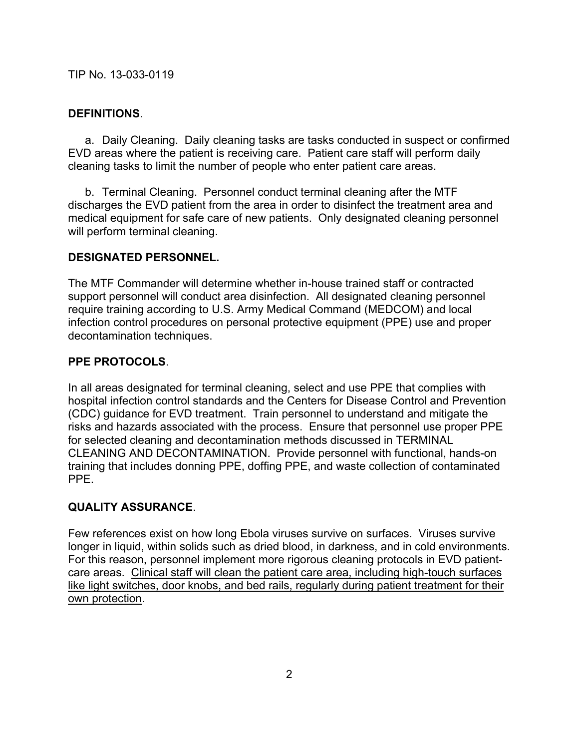# **DEFINITIONS**.

 a. Daily Cleaning. Daily cleaning tasks are tasks conducted in suspect or confirmed EVD areas where the patient is receiving care. Patient care staff will perform daily cleaning tasks to limit the number of people who enter patient care areas.

 b. Terminal Cleaning. Personnel conduct terminal cleaning after the MTF discharges the EVD patient from the area in order to disinfect the treatment area and medical equipment for safe care of new patients. Only designated cleaning personnel will perform terminal cleaning.

# **DESIGNATED PERSONNEL.**

The MTF Commander will determine whether in-house trained staff or contracted support personnel will conduct area disinfection. All designated cleaning personnel require training according to U.S. Army Medical Command (MEDCOM) and local infection control procedures on personal protective equipment (PPE) use and proper decontamination techniques.

# **PPE PROTOCOLS**.

In all areas designated for terminal cleaning, select and use PPE that complies with hospital infection control standards and the Centers for Disease Control and Prevention (CDC) guidance for EVD treatment. Train personnel to understand and mitigate the risks and hazards associated with the process. Ensure that personnel use proper PPE for selected cleaning and decontamination methods discussed in TERMINAL CLEANING AND DECONTAMINATION. Provide personnel with functional, hands-on training that includes donning PPE, doffing PPE, and waste collection of contaminated PPE.

# **QUALITY ASSURANCE**.

Few references exist on how long Ebola viruses survive on surfaces. Viruses survive longer in liquid, within solids such as dried blood, in darkness, and in cold environments. For this reason, personnel implement more rigorous cleaning protocols in EVD patientcare areas. Clinical staff will clean the patient care area, including high-touch surfaces like light switches, door knobs, and bed rails, regularly during patient treatment for their own protection.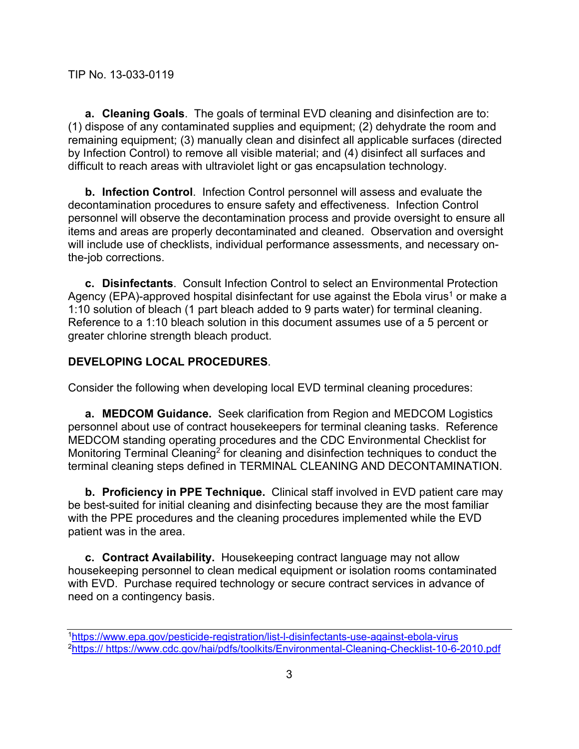**a. Cleaning Goals**. The goals of terminal EVD cleaning and disinfection are to: (1) dispose of any contaminated supplies and equipment; (2) dehydrate the room and remaining equipment; (3) manually clean and disinfect all applicable surfaces (directed by Infection Control) to remove all visible material; and (4) disinfect all surfaces and difficult to reach areas with ultraviolet light or gas encapsulation technology.

**b. Infection Control**. Infection Control personnel will assess and evaluate the decontamination procedures to ensure safety and effectiveness. Infection Control personnel will observe the decontamination process and provide oversight to ensure all items and areas are properly decontaminated and cleaned. Observation and oversight will include use of checklists, individual performance assessments, and necessary onthe-job corrections.

**c. Disinfectants**. Consult Infection Control to select an Environmental Protection Agency (EPA)-approved hospital disinfectant for use against the Ebola virus<sup>1</sup> or make a 1:10 solution of bleach (1 part bleach added to 9 parts water) for terminal cleaning. Reference to a 1:10 bleach solution in this document assumes use of a 5 percent or greater chlorine strength bleach product.

## **DEVELOPING LOCAL PROCEDURES**.

Consider the following when developing local EVD terminal cleaning procedures:

**a. MEDCOM Guidance.** Seek clarification from Region and MEDCOM Logistics personnel about use of contract housekeepers for terminal cleaning tasks. Reference MEDCOM standing operating procedures and the CDC Environmental Checklist for Monitoring Terminal Cleaning<sup>2</sup> for cleaning and disinfection techniques to conduct the terminal cleaning steps defined in TERMINAL CLEANING AND DECONTAMINATION.

**b. Proficiency in PPE Technique.** Clinical staff involved in EVD patient care may be best-suited for initial cleaning and disinfecting because they are the most familiar with the PPE procedures and the cleaning procedures implemented while the EVD patient was in the area.

**c. Contract Availability.** Housekeeping contract language may not allow housekeeping personnel to clean medical equipment or isolation rooms contaminated with EVD. Purchase required technology or secure contract services in advance of need on a contingency basis.

<sup>1</sup>https://www.epa.gov/pesticide-registration/list-l-disinfectants-use-against-ebola-virus 2https:// https://www.cdc.gov/hai/pdfs/toolkits/Environmental-Cleaning-Checklist-10-6-2010.pdf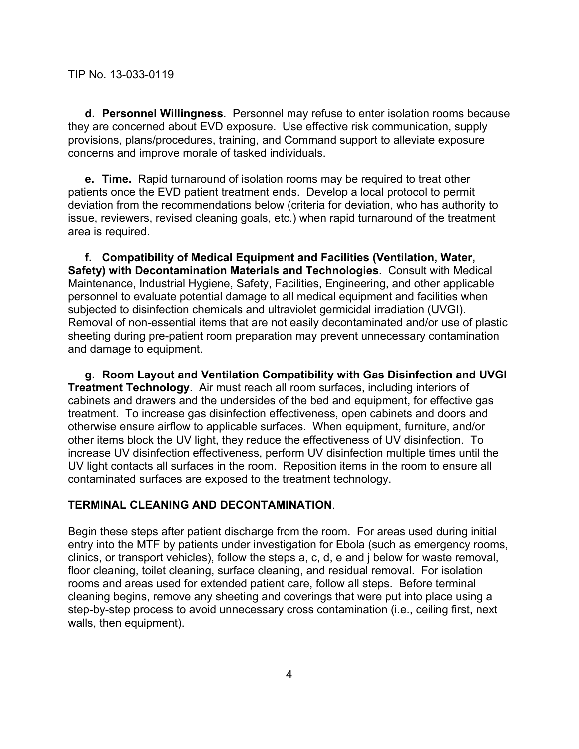**d. Personnel Willingness**. Personnel may refuse to enter isolation rooms because they are concerned about EVD exposure. Use effective risk communication, supply provisions, plans/procedures, training, and Command support to alleviate exposure concerns and improve morale of tasked individuals.

**e. Time.** Rapid turnaround of isolation rooms may be required to treat other patients once the EVD patient treatment ends. Develop a local protocol to permit deviation from the recommendations below (criteria for deviation, who has authority to issue, reviewers, revised cleaning goals, etc.) when rapid turnaround of the treatment area is required.

**f. Compatibility of Medical Equipment and Facilities (Ventilation, Water, Safety) with Decontamination Materials and Technologies**. Consult with Medical Maintenance, Industrial Hygiene, Safety, Facilities, Engineering, and other applicable personnel to evaluate potential damage to all medical equipment and facilities when subjected to disinfection chemicals and ultraviolet germicidal irradiation (UVGI). Removal of non-essential items that are not easily decontaminated and/or use of plastic sheeting during pre-patient room preparation may prevent unnecessary contamination and damage to equipment.

**g. Room Layout and Ventilation Compatibility with Gas Disinfection and UVGI Treatment Technology**. Air must reach all room surfaces, including interiors of cabinets and drawers and the undersides of the bed and equipment, for effective gas treatment. To increase gas disinfection effectiveness, open cabinets and doors and otherwise ensure airflow to applicable surfaces. When equipment, furniture, and/or other items block the UV light, they reduce the effectiveness of UV disinfection. To increase UV disinfection effectiveness, perform UV disinfection multiple times until the UV light contacts all surfaces in the room. Reposition items in the room to ensure all contaminated surfaces are exposed to the treatment technology.

#### **TERMINAL CLEANING AND DECONTAMINATION**.

Begin these steps after patient discharge from the room. For areas used during initial entry into the MTF by patients under investigation for Ebola (such as emergency rooms, clinics, or transport vehicles), follow the steps a, c, d, e and j below for waste removal, floor cleaning, toilet cleaning, surface cleaning, and residual removal. For isolation rooms and areas used for extended patient care, follow all steps. Before terminal cleaning begins, remove any sheeting and coverings that were put into place using a step-by-step process to avoid unnecessary cross contamination (i.e., ceiling first, next walls, then equipment).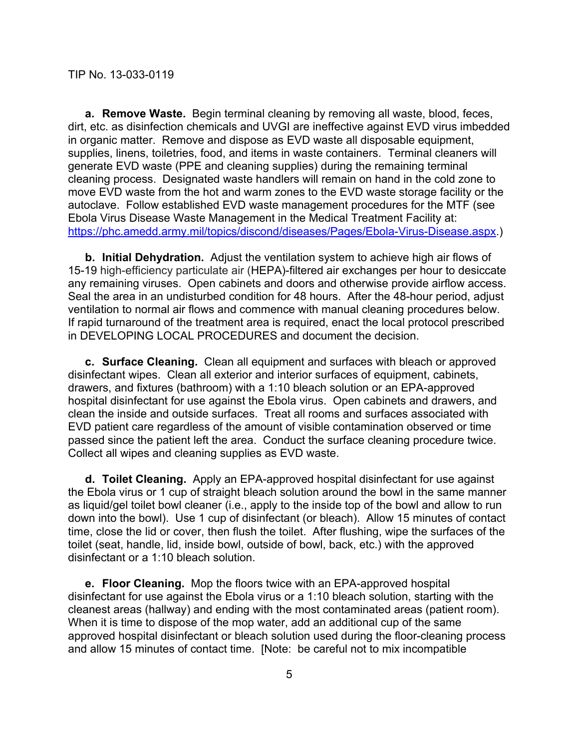**a. Remove Waste.** Begin terminal cleaning by removing all waste, blood, feces, dirt, etc. as disinfection chemicals and UVGI are ineffective against EVD virus imbedded in organic matter. Remove and dispose as EVD waste all disposable equipment, supplies, linens, toiletries, food, and items in waste containers. Terminal cleaners will generate EVD waste (PPE and cleaning supplies) during the remaining terminal cleaning process. Designated waste handlers will remain on hand in the cold zone to move EVD waste from the hot and warm zones to the EVD waste storage facility or the autoclave. Follow established EVD waste management procedures for the MTF (see Ebola Virus Disease Waste Management in the Medical Treatment Facility at: https://phc.amedd.army.mil/topics/discond/diseases/Pages/Ebola-Virus-Disease.aspx.)

**b. Initial Dehydration.** Adjust the ventilation system to achieve high air flows of 15-19 high-efficiency particulate air (HEPA)-filtered air exchanges per hour to desiccate any remaining viruses. Open cabinets and doors and otherwise provide airflow access. Seal the area in an undisturbed condition for 48 hours. After the 48-hour period, adjust ventilation to normal air flows and commence with manual cleaning procedures below. If rapid turnaround of the treatment area is required, enact the local protocol prescribed in DEVELOPING LOCAL PROCEDURES and document the decision.

**c. Surface Cleaning.** Clean all equipment and surfaces with bleach or approved disinfectant wipes. Clean all exterior and interior surfaces of equipment, cabinets, drawers, and fixtures (bathroom) with a 1:10 bleach solution or an EPA-approved hospital disinfectant for use against the Ebola virus. Open cabinets and drawers, and clean the inside and outside surfaces. Treat all rooms and surfaces associated with EVD patient care regardless of the amount of visible contamination observed or time passed since the patient left the area. Conduct the surface cleaning procedure twice. Collect all wipes and cleaning supplies as EVD waste.

**d. Toilet Cleaning.** Apply an EPA-approved hospital disinfectant for use against the Ebola virus or 1 cup of straight bleach solution around the bowl in the same manner as liquid/gel toilet bowl cleaner (i.e., apply to the inside top of the bowl and allow to run down into the bowl). Use 1 cup of disinfectant (or bleach). Allow 15 minutes of contact time, close the lid or cover, then flush the toilet. After flushing, wipe the surfaces of the toilet (seat, handle, lid, inside bowl, outside of bowl, back, etc.) with the approved disinfectant or a 1:10 bleach solution.

**e. Floor Cleaning.** Mop the floors twice with an EPA-approved hospital disinfectant for use against the Ebola virus or a 1:10 bleach solution, starting with the cleanest areas (hallway) and ending with the most contaminated areas (patient room). When it is time to dispose of the mop water, add an additional cup of the same approved hospital disinfectant or bleach solution used during the floor-cleaning process and allow 15 minutes of contact time. [Note: be careful not to mix incompatible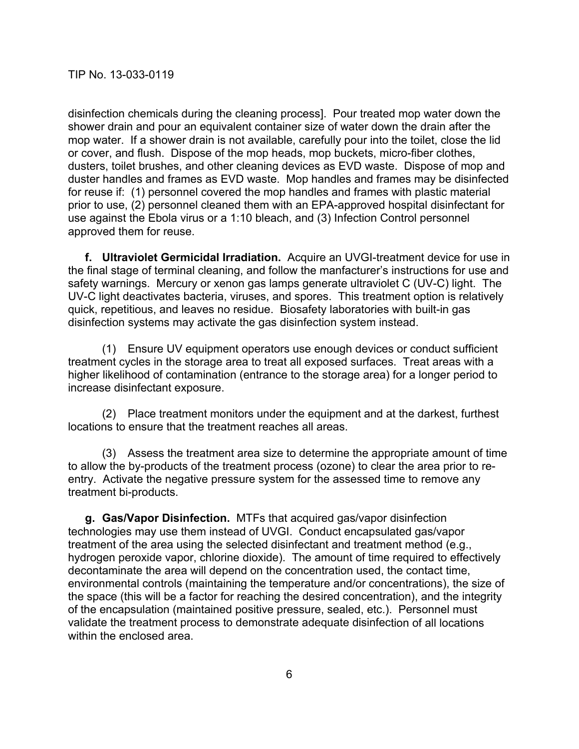disinfection chemicals during the cleaning process]. Pour treated mop water down the shower drain and pour an equivalent container size of water down the drain after the mop water. If a shower drain is not available, carefully pour into the toilet, close the lid or cover, and flush. Dispose of the mop heads, mop buckets, micro-fiber clothes, dusters, toilet brushes, and other cleaning devices as EVD waste. Dispose of mop and duster handles and frames as EVD waste. Mop handles and frames may be disinfected for reuse if: (1) personnel covered the mop handles and frames with plastic material prior to use, (2) personnel cleaned them with an EPA-approved hospital disinfectant for use against the Ebola virus or a 1:10 bleach, and (3) Infection Control personnel approved them for reuse.

**f. Ultraviolet Germicidal Irradiation.** Acquire an UVGI-treatment device for use in the final stage of terminal cleaning, and follow the manfacturer's instructions for use and safety warnings. Mercury or xenon gas lamps generate ultraviolet C (UV-C) light. The UV-C light deactivates bacteria, viruses, and spores. This treatment option is relatively quick, repetitious, and leaves no residue. Biosafety laboratories with built-in gas disinfection systems may activate the gas disinfection system instead.

 (1) Ensure UV equipment operators use enough devices or conduct sufficient treatment cycles in the storage area to treat all exposed surfaces. Treat areas with a higher likelihood of contamination (entrance to the storage area) for a longer period to increase disinfectant exposure.

 (2) Place treatment monitors under the equipment and at the darkest, furthest locations to ensure that the treatment reaches all areas.

 (3) Assess the treatment area size to determine the appropriate amount of time to allow the by-products of the treatment process (ozone) to clear the area prior to reentry. Activate the negative pressure system for the assessed time to remove any treatment bi-products.

**g. Gas/Vapor Disinfection.** MTFs that acquired gas/vapor disinfection technologies may use them instead of UVGI. Conduct encapsulated gas/vapor treatment of the area using the selected disinfectant and treatment method (e.g., hydrogen peroxide vapor, chlorine dioxide). The amount of time required to effectively decontaminate the area will depend on the concentration used, the contact time, environmental controls (maintaining the temperature and/or concentrations), the size of the space (this will be a factor for reaching the desired concentration), and the integrity of the encapsulation (maintained positive pressure, sealed, etc.). Personnel must validate the treatment process to demonstrate adequate disinfection of all locations within the enclosed area.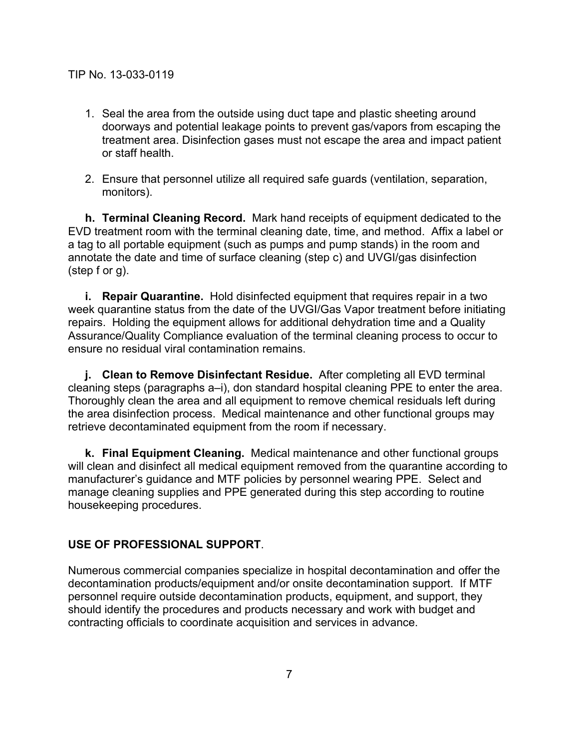- 1. Seal the area from the outside using duct tape and plastic sheeting around doorways and potential leakage points to prevent gas/vapors from escaping the treatment area. Disinfection gases must not escape the area and impact patient or staff health.
- 2. Ensure that personnel utilize all required safe guards (ventilation, separation, monitors).

**h. Terminal Cleaning Record.** Mark hand receipts of equipment dedicated to the EVD treatment room with the terminal cleaning date, time, and method. Affix a label or a tag to all portable equipment (such as pumps and pump stands) in the room and annotate the date and time of surface cleaning (step c) and UVGI/gas disinfection (step f or g).

**i. Repair Quarantine.** Hold disinfected equipment that requires repair in a two week quarantine status from the date of the UVGI/Gas Vapor treatment before initiating repairs. Holding the equipment allows for additional dehydration time and a Quality Assurance/Quality Compliance evaluation of the terminal cleaning process to occur to ensure no residual viral contamination remains.

**j. Clean to Remove Disinfectant Residue.** After completing all EVD terminal cleaning steps (paragraphs a–i), don standard hospital cleaning PPE to enter the area. Thoroughly clean the area and all equipment to remove chemical residuals left during the area disinfection process. Medical maintenance and other functional groups may retrieve decontaminated equipment from the room if necessary.

**k. Final Equipment Cleaning.** Medical maintenance and other functional groups will clean and disinfect all medical equipment removed from the quarantine according to manufacturer's guidance and MTF policies by personnel wearing PPE. Select and manage cleaning supplies and PPE generated during this step according to routine housekeeping procedures.

#### **USE OF PROFESSIONAL SUPPORT**.

Numerous commercial companies specialize in hospital decontamination and offer the decontamination products/equipment and/or onsite decontamination support. If MTF personnel require outside decontamination products, equipment, and support, they should identify the procedures and products necessary and work with budget and contracting officials to coordinate acquisition and services in advance.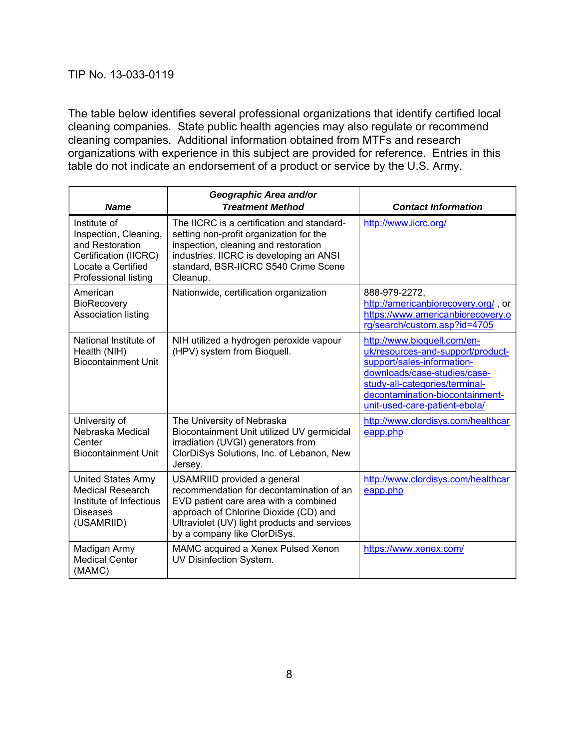The table below identifies several professional organizations that identify certified local cleaning companies. State public health agencies may also regulate or recommend cleaning companies. Additional information obtained from MTFs and research organizations with experience in this subject are provided for reference. Entries in this table do not indicate an endorsement of a product or service by the U.S. Army.

| <b>Name</b>                                                                                                                     | Geographic Area and/or<br><b>Treatment Method</b>                                                                                                                                                                                         | <b>Contact Information</b>                                                                                                                                                                                                           |
|---------------------------------------------------------------------------------------------------------------------------------|-------------------------------------------------------------------------------------------------------------------------------------------------------------------------------------------------------------------------------------------|--------------------------------------------------------------------------------------------------------------------------------------------------------------------------------------------------------------------------------------|
| Institute of<br>Inspection, Cleaning,<br>and Restoration<br>Certification (IICRC)<br>Locate a Certified<br>Professional listing | The IICRC is a certification and standard-<br>setting non-profit organization for the<br>inspection, cleaning and restoration<br>industries. IICRC is developing an ANSI<br>standard, BSR-IICRC S540 Crime Scene<br>Cleanup.              | http://www.iicrc.org/                                                                                                                                                                                                                |
| American<br><b>BioRecovery</b><br>Association listing                                                                           | Nationwide, certification organization                                                                                                                                                                                                    | 888-979-2272,<br>http://americanbiorecovery.org/, or<br>https://www.americanbiorecovery.o<br>rg/search/custom.asp?id=4705                                                                                                            |
| National Institute of<br>Health (NIH)<br><b>Biocontainment Unit</b>                                                             | NIH utilized a hydrogen peroxide vapour<br>(HPV) system from Bioquell.                                                                                                                                                                    | http://www.bioquell.com/en-<br>uk/resources-and-support/product-<br>support/sales-information-<br>downloads/case-studies/case-<br>study-all-categories/terminal-<br>decontamination-biocontainment-<br>unit-used-care-patient-ebola/ |
| University of<br>Nebraska Medical<br>Center<br><b>Biocontainment Unit</b>                                                       | The University of Nebraska<br>Biocontainment Unit utilized UV germicidal<br>irradiation (UVGI) generators from<br>ClorDiSys Solutions, Inc. of Lebanon, New<br>Jersey.                                                                    | http://www.clordisys.com/healthcar<br>eapp.php                                                                                                                                                                                       |
| <b>United States Army</b><br><b>Medical Research</b><br>Institute of Infectious<br><b>Diseases</b><br>(USAMRIID)                | USAMRIID provided a general<br>recommendation for decontamination of an<br>EVD patient care area with a combined<br>approach of Chlorine Dioxide (CD) and<br>Ultraviolet (UV) light products and services<br>by a company like ClorDiSys. | http://www.clordisys.com/healthcar<br>eapp.php                                                                                                                                                                                       |
| Madigan Army<br><b>Medical Center</b><br>(MAMC)                                                                                 | MAMC acquired a Xenex Pulsed Xenon<br>UV Disinfection System.                                                                                                                                                                             | https://www.xenex.com/                                                                                                                                                                                                               |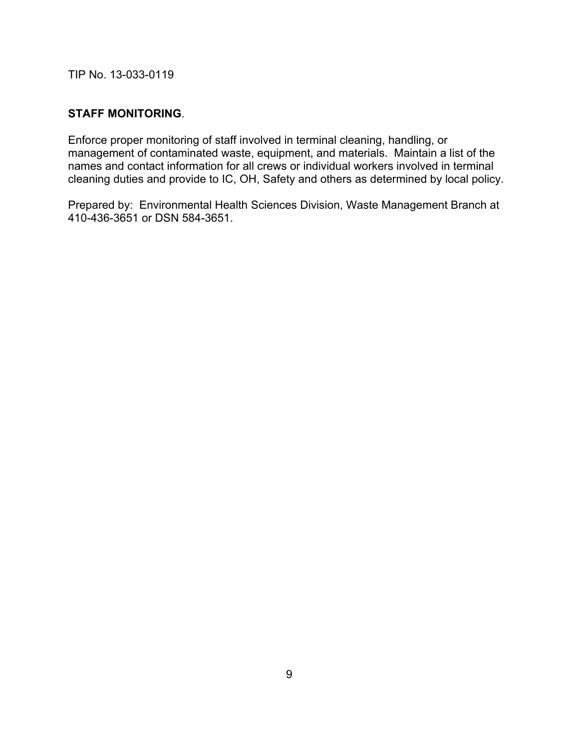# **STAFF MONITORING**.

Enforce proper monitoring of staff involved in terminal cleaning, handling, or management of contaminated waste, equipment, and materials. Maintain a list of the names and contact information for all crews or individual workers involved in terminal cleaning duties and provide to IC, OH, Safety and others as determined by local policy.

Prepared by: Environmental Health Sciences Division, Waste Management Branch at 410-436-3651 or DSN 584-3651.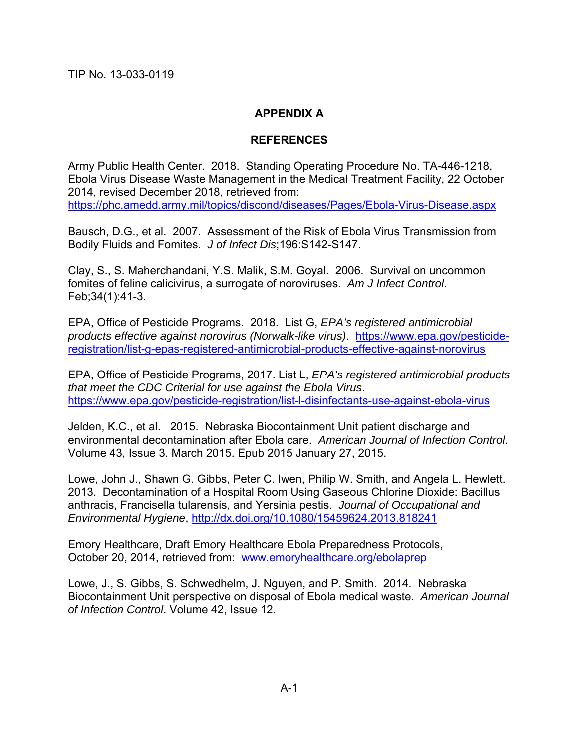# **APPENDIX A**

# **REFERENCES**

Army Public Health Center. 2018. Standing Operating Procedure No. TA-446-1218, Ebola Virus Disease Waste Management in the Medical Treatment Facility, 22 October 2014, revised December 2018, retrieved from: https://phc.amedd.army.mil/topics/discond/diseases/Pages/Ebola-Virus-Disease.aspx

Bausch, D.G., et al. 2007. Assessment of the Risk of Ebola Virus Transmission from Bodily Fluids and Fomites. *J of Infect Dis*;196:S142-S147.

Clay, S., S. Maherchandani, Y.S. Malik, S.M. Goyal. 2006. Survival on uncommon fomites of feline calicivirus, a surrogate of noroviruses. *Am J Infect Control*. Feb;34(1):41-3.

EPA, Office of Pesticide Programs. 2018. List G, *EPA's registered antimicrobial products effective against norovirus (Norwalk-like virus)*. https://www.epa.gov/pesticideregistration/list-g-epas-registered-antimicrobial-products-effective-against-norovirus

EPA, Office of Pesticide Programs, 2017. List L, *EPA's registered antimicrobial products that meet the CDC Criterial for use against the Ebola Virus*. https://www.epa.gov/pesticide-registration/list-l-disinfectants-use-against-ebola-virus

Jelden, K.C., et al. 2015. Nebraska Biocontainment Unit patient discharge and environmental decontamination after Ebola care. *American Journal of Infection Control*. Volume 43, Issue 3. March 2015. Epub 2015 January 27, 2015.

Lowe, John J., Shawn G. Gibbs, Peter C. Iwen, Philip W. Smith, and Angela L. Hewlett. 2013. Decontamination of a Hospital Room Using Gaseous Chlorine Dioxide: Bacillus anthracis, Francisella tularensis, and Yersinia pestis. *Journal of Occupational and Environmental Hygiene*, http://dx.doi.org/10.1080/15459624.2013.818241

Emory Healthcare, Draft Emory Healthcare Ebola Preparedness Protocols, October 20, 2014, retrieved from: www.emoryhealthcare.org/ebolaprep

Lowe, J., S. Gibbs, S. Schwedhelm, J. Nguyen, and P. Smith. 2014. Nebraska Biocontainment Unit perspective on disposal of Ebola medical waste. *American Journal of Infection Control*. Volume 42, Issue 12.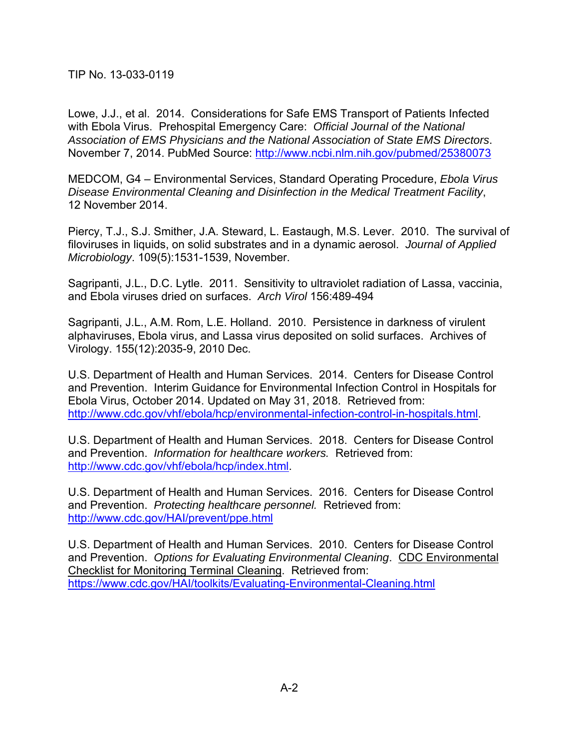Lowe, J.J., et al. 2014. Considerations for Safe EMS Transport of Patients Infected with Ebola Virus.Prehospital Emergency Care: *Official Journal of the National Association of EMS Physicians and the National Association of State EMS Directors*. November 7, 2014. PubMed Source: http://www.ncbi.nlm.nih.gov/pubmed/25380073

MEDCOM, G4 – Environmental Services, Standard Operating Procedure, *Ebola Virus Disease Environmental Cleaning and Disinfection in the Medical Treatment Facility*, 12 November 2014.

Piercy, T.J., S.J. Smither, J.A. Steward, L. Eastaugh, M.S. Lever. 2010. The survival of filoviruses in liquids, on solid substrates and in a dynamic aerosol. *Journal of Applied Microbiology*. 109(5):1531-1539, November.

Sagripanti, J.L., D.C. Lytle. 2011. Sensitivity to ultraviolet radiation of Lassa, vaccinia, and Ebola viruses dried on surfaces. *Arch Virol* 156:489-494

Sagripanti, J.L., A.M. Rom, L.E. Holland. 2010. Persistence in darkness of virulent alphaviruses, Ebola virus, and Lassa virus deposited on solid surfaces. Archives of Virology. 155(12):2035-9, 2010 Dec.

U.S. Department of Health and Human Services. 2014. Centers for Disease Control and Prevention. Interim Guidance for Environmental Infection Control in Hospitals for Ebola Virus, October 2014. Updated on May 31, 2018. Retrieved from: http://www.cdc.gov/vhf/ebola/hcp/environmental-infection-control-in-hospitals.html.

U.S. Department of Health and Human Services. 2018. Centers for Disease Control and Prevention. *Information for healthcare workers.* Retrieved from: http://www.cdc.gov/vhf/ebola/hcp/index.html.

U.S. Department of Health and Human Services. 2016. Centers for Disease Control and Prevention. *Protecting healthcare personnel.* Retrieved from: http://www.cdc.gov/HAI/prevent/ppe.html

U.S. Department of Health and Human Services. 2010. Centers for Disease Control and Prevention. *Options for Evaluating Environmental Cleaning*. CDC Environmental Checklist for Monitoring Terminal Cleaning. Retrieved from: https://www.cdc.gov/HAI/toolkits/Evaluating-Environmental-Cleaning.html